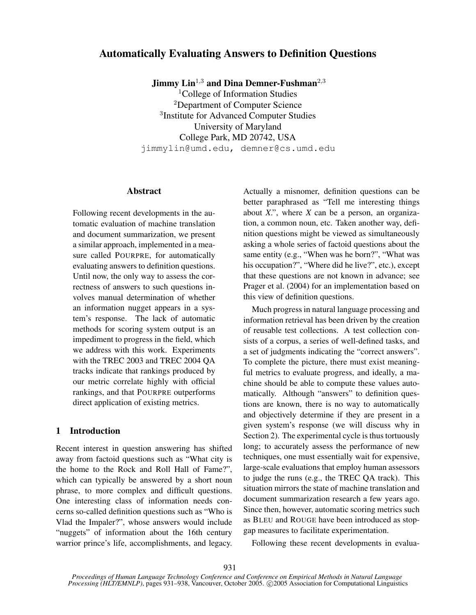# Automatically Evaluating Answers to Definition Questions

Jimmy  $\text{Lin}^{1,3}$  and Dina Demner-Fushman<sup>2,3</sup>

<sup>1</sup>College of Information Studies <sup>2</sup>Department of Computer Science 3 Institute for Advanced Computer Studies University of Maryland College Park, MD 20742, USA jimmylin@umd.edu, demner@cs.umd.edu

#### Abstract

Following recent developments in the automatic evaluation of machine translation and document summarization, we present a similar approach, implemented in a measure called POURPRE, for automatically evaluating answers to definition questions. Until now, the only way to assess the correctness of answers to such questions involves manual determination of whether an information nugget appears in a system's response. The lack of automatic methods for scoring system output is an impediment to progress in the field, which we address with this work. Experiments with the TREC 2003 and TREC 2004 QA tracks indicate that rankings produced by our metric correlate highly with official rankings, and that POURPRE outperforms direct application of existing metrics.

## 1 Introduction

Recent interest in question answering has shifted away from factoid questions such as "What city is the home to the Rock and Roll Hall of Fame?", which can typically be answered by a short noun phrase, to more complex and difficult questions. One interesting class of information needs concerns so-called definition questions such as "Who is Vlad the Impaler?", whose answers would include "nuggets" of information about the 16th century warrior prince's life, accomplishments, and legacy. Actually a misnomer, definition questions can be better paraphrased as "Tell me interesting things about *X*.", where *X* can be a person, an organization, a common noun, etc. Taken another way, definition questions might be viewed as simultaneously asking a whole series of factoid questions about the same entity (e.g., "When was he born?", "What was his occupation?", "Where did he live?", etc.), except that these questions are not known in advance; see Prager et al. (2004) for an implementation based on this view of definition questions.

Much progress in natural language processing and information retrieval has been driven by the creation of reusable test collections. A test collection consists of a corpus, a series of well-defined tasks, and a set of judgments indicating the "correct answers". To complete the picture, there must exist meaningful metrics to evaluate progress, and ideally, a machine should be able to compute these values automatically. Although "answers" to definition questions are known, there is no way to automatically and objectively determine if they are present in a given system's response (we will discuss why in Section 2). The experimental cycle is thus tortuously long; to accurately assess the performance of new techniques, one must essentially wait for expensive, large-scale evaluations that employ human assessors to judge the runs (e.g., the TREC QA track). This situation mirrors the state of machine translation and document summarization research a few years ago. Since then, however, automatic scoring metrics such as BLEU and ROUGE have been introduced as stopgap measures to facilitate experimentation.

Following these recent developments in evalua-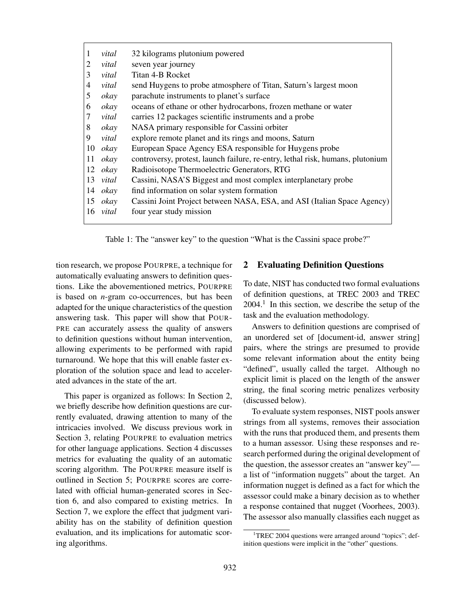| 1              | vital        | 32 kilograms plutonium powered                                                 |
|----------------|--------------|--------------------------------------------------------------------------------|
| 2              | vital        | seven year journey                                                             |
| 3              | vital        | Titan 4-B Rocket                                                               |
| $\overline{4}$ | vital        | send Huygens to probe atmosphere of Titan, Saturn's largest moon               |
| 5              | okay         | parachute instruments to planet's surface                                      |
| 6              | okay         | oceans of ethane or other hydrocarbons, frozen methane or water                |
| 7              | vital        | carries 12 packages scientific instruments and a probe                         |
| 8              | okay         | NASA primary responsible for Cassini orbiter                                   |
| 9              | vital        | explore remote planet and its rings and moons, Saturn                          |
|                | $10 \;$ okay | European Space Agency ESA responsible for Huygens probe                        |
| 11             | okay         | controversy, protest, launch failure, re-entry, lethal risk, humans, plutonium |
|                | $12 \;$ okay | Radioisotope Thermoelectric Generators, RTG                                    |
| 13             | vital        | Cassini, NASA'S Biggest and most complex interplanetary probe                  |
|                | $14 \;$ okay | find information on solar system formation                                     |
|                | $15 \;$ okay | Cassini Joint Project between NASA, ESA, and ASI (Italian Space Agency)        |
|                | 16 vital     | four year study mission                                                        |
|                |              |                                                                                |

Table 1: The "answer key" to the question "What is the Cassini space probe?"

tion research, we propose POURPRE, a technique for automatically evaluating answers to definition questions. Like the abovementioned metrics, POURPRE is based on *n*-gram co-occurrences, but has been adapted for the unique characteristics of the question answering task. This paper will show that POUR-PRE can accurately assess the quality of answers to definition questions without human intervention, allowing experiments to be performed with rapid turnaround. We hope that this will enable faster exploration of the solution space and lead to accelerated advances in the state of the art.

This paper is organized as follows: In Section 2, we briefly describe how definition questions are currently evaluated, drawing attention to many of the intricacies involved. We discuss previous work in Section 3, relating POURPRE to evaluation metrics for other language applications. Section 4 discusses metrics for evaluating the quality of an automatic scoring algorithm. The POURPRE measure itself is outlined in Section 5; POURPRE scores are correlated with official human-generated scores in Section 6, and also compared to existing metrics. In Section 7, we explore the effect that judgment variability has on the stability of definition question evaluation, and its implications for automatic scoring algorithms.

### 2 Evaluating Definition Questions

To date, NIST has conducted two formal evaluations of definition questions, at TREC 2003 and TREC  $2004<sup>1</sup>$  In this section, we describe the setup of the task and the evaluation methodology.

Answers to definition questions are comprised of an unordered set of [document-id, answer string] pairs, where the strings are presumed to provide some relevant information about the entity being "defined", usually called the target. Although no explicit limit is placed on the length of the answer string, the final scoring metric penalizes verbosity (discussed below).

To evaluate system responses, NIST pools answer strings from all systems, removes their association with the runs that produced them, and presents them to a human assessor. Using these responses and research performed during the original development of the question, the assessor creates an "answer key" a list of "information nuggets" about the target. An information nugget is defined as a fact for which the assessor could make a binary decision as to whether a response contained that nugget (Voorhees, 2003). The assessor also manually classifies each nugget as

<sup>&</sup>lt;sup>1</sup>TREC 2004 questions were arranged around "topics"; definition questions were implicit in the "other" questions.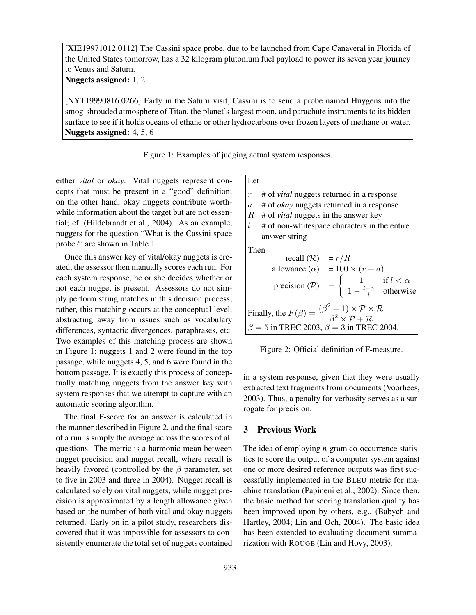[XIE19971012.0112] The Cassini space probe, due to be launched from Cape Canaveral in Florida of the United States tomorrow, has a 32 kilogram plutonium fuel payload to power its seven year journey to Venus and Saturn.

Nuggets assigned: 1, 2

[NYT19990816.0266] Early in the Saturn visit, Cassini is to send a probe named Huygens into the smog-shrouded atmosphere of Titan, the planet's largest moon, and parachute instruments to its hidden surface to see if it holds oceans of ethane or other hydrocarbons over frozen layers of methane or water. Nuggets assigned: 4, 5, 6

Figure 1: Examples of judging actual system responses.

either *vital* or *okay*. Vital nuggets represent concepts that must be present in a "good" definition; on the other hand, okay nuggets contribute worthwhile information about the target but are not essential; cf. (Hildebrandt et al., 2004). As an example, nuggets for the question "What is the Cassini space probe?" are shown in Table 1.

Once this answer key of vital/okay nuggets is created, the assessor then manually scores each run. For each system response, he or she decides whether or not each nugget is present. Assessors do not simply perform string matches in this decision process; rather, this matching occurs at the conceptual level, abstracting away from issues such as vocabulary differences, syntactic divergences, paraphrases, etc. Two examples of this matching process are shown in Figure 1: nuggets 1 and 2 were found in the top passage, while nuggets 4, 5, and 6 were found in the bottom passage. It is exactly this process of conceptually matching nuggets from the answer key with system responses that we attempt to capture with an automatic scoring algorithm.

The final F-score for an answer is calculated in the manner described in Figure 2, and the final score of a run is simply the average across the scores of all questions. The metric is a harmonic mean between nugget precision and nugget recall, where recall is heavily favored (controlled by the  $\beta$  parameter, set to five in 2003 and three in 2004). Nugget recall is calculated solely on vital nuggets, while nugget precision is approximated by a length allowance given based on the number of both vital and okay nuggets returned. Early on in a pilot study, researchers discovered that it was impossible for assessors to consistently enumerate the total set of nuggets contained

### Let

r # of *vital* nuggets returned in a response

- a # of *okay* nuggets returned in a response
- R # of *vital* nuggets in the answer key
- $l$  # of non-whitespace characters in the entire answer string

Then

recall  $(R) = r/R$ allowance  $(\alpha) = 100 \times (r + a)$ precision  $(\mathcal{P})$  =  $\int 1$  if  $l < \alpha$  $1-\frac{l-\alpha}{l}$  $\frac{1}{l}$  otherwise Finally, the  $F(\beta) = \frac{(\beta^2 + 1) \times \mathcal{P} \times \mathcal{R}}{\beta^2 + 1}$  $\overline{\beta^2\times \mathcal{P}+\mathcal{R}}$  $\beta = 5$  in TREC 2003,  $\beta = 3$  in TREC 2004.

Figure 2: Official definition of F-measure.

in a system response, given that they were usually extracted text fragments from documents (Voorhees, 2003). Thus, a penalty for verbosity serves as a surrogate for precision.

#### 3 Previous Work

The idea of employing *n*-gram co-occurrence statistics to score the output of a computer system against one or more desired reference outputs was first successfully implemented in the BLEU metric for machine translation (Papineni et al., 2002). Since then, the basic method for scoring translation quality has been improved upon by others, e.g., (Babych and Hartley, 2004; Lin and Och, 2004). The basic idea has been extended to evaluating document summarization with ROUGE (Lin and Hovy, 2003).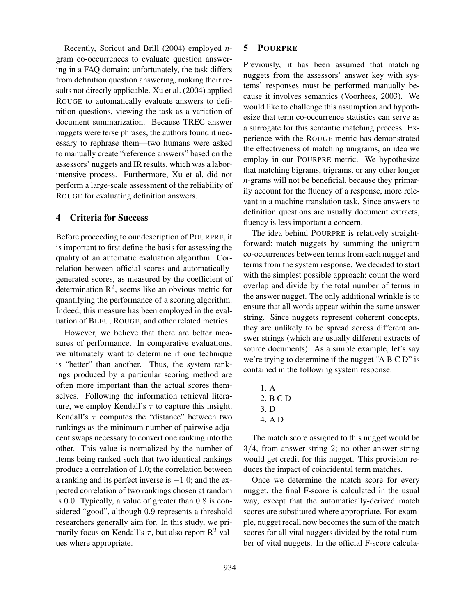Recently, Soricut and Brill (2004) employed *n*gram co-occurrences to evaluate question answering in a FAQ domain; unfortunately, the task differs from definition question answering, making their results not directly applicable. Xu et al. (2004) applied ROUGE to automatically evaluate answers to definition questions, viewing the task as a variation of document summarization. Because TREC answer nuggets were terse phrases, the authors found it necessary to rephrase them—two humans were asked to manually create "reference answers" based on the assessors' nuggets and IR results, which was a laborintensive process. Furthermore, Xu et al. did not perform a large-scale assessment of the reliability of ROUGE for evaluating definition answers.

### 4 Criteria for Success

Before proceeding to our description of POURPRE, it is important to first define the basis for assessing the quality of an automatic evaluation algorithm. Correlation between official scores and automaticallygenerated scores, as measured by the coefficient of determination  $\mathbb{R}^2$ , seems like an obvious metric for quantifying the performance of a scoring algorithm. Indeed, this measure has been employed in the evaluation of BLEU, ROUGE, and other related metrics.

However, we believe that there are better measures of performance. In comparative evaluations, we ultimately want to determine if one technique is "better" than another. Thus, the system rankings produced by a particular scoring method are often more important than the actual scores themselves. Following the information retrieval literature, we employ Kendall's  $\tau$  to capture this insight. Kendall's  $\tau$  computes the "distance" between two rankings as the minimum number of pairwise adjacent swaps necessary to convert one ranking into the other. This value is normalized by the number of items being ranked such that two identical rankings produce a correlation of 1.0; the correlation between a ranking and its perfect inverse is  $-1.0$ ; and the expected correlation of two rankings chosen at random is 0.0. Typically, a value of greater than 0.8 is considered "good", although 0.9 represents a threshold researchers generally aim for. In this study, we primarily focus on Kendall's  $\tau$ , but also report  $\mathbb{R}^2$  values where appropriate.

#### 5 POURPRE

Previously, it has been assumed that matching nuggets from the assessors' answer key with systems' responses must be performed manually because it involves semantics (Voorhees, 2003). We would like to challenge this assumption and hypothesize that term co-occurrence statistics can serve as a surrogate for this semantic matching process. Experience with the ROUGE metric has demonstrated the effectiveness of matching unigrams, an idea we employ in our POURPRE metric. We hypothesize that matching bigrams, trigrams, or any other longer *n*-grams will not be beneficial, because they primarily account for the fluency of a response, more relevant in a machine translation task. Since answers to definition questions are usually document extracts, fluency is less important a concern.

The idea behind POURPRE is relatively straightforward: match nuggets by summing the unigram co-occurrences between terms from each nugget and terms from the system response. We decided to start with the simplest possible approach: count the word overlap and divide by the total number of terms in the answer nugget. The only additional wrinkle is to ensure that all words appear within the same answer string. Since nuggets represent coherent concepts, they are unlikely to be spread across different answer strings (which are usually different extracts of source documents). As a simple example, let's say we're trying to determine if the nugget "A B C D" is contained in the following system response:

1. A 2. B C D 3. D 4. A D

The match score assigned to this nugget would be 3/4, from answer string 2; no other answer string would get credit for this nugget. This provision reduces the impact of coincidental term matches.

Once we determine the match score for every nugget, the final F-score is calculated in the usual way, except that the automatically-derived match scores are substituted where appropriate. For example, nugget recall now becomes the sum of the match scores for all vital nuggets divided by the total number of vital nuggets. In the official F-score calcula-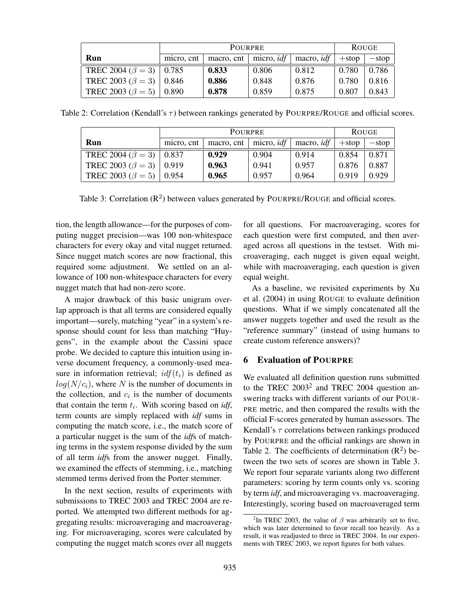|                                   | <b>POURPRE</b> |       |       |                                                                        | <b>ROUGE</b> |         |
|-----------------------------------|----------------|-------|-------|------------------------------------------------------------------------|--------------|---------|
| Run                               | micro, ent     |       |       | macro, cnt $\vert$ micro, <i>idf</i> $\vert$ macro, <i>idf</i> $\vert$ | $+$ stop     | $-stop$ |
| TREC 2004 ( $\beta = 3$ )   0.785 |                | 0.833 | 0.806 | 0.812                                                                  | 0.780        | 0.786   |
| TREC 2003 ( $\beta = 3$ )   0.846 |                | 0.886 | 0.848 | 0.876                                                                  | 0.780        | 0.816   |
| TREC 2003 ( $\beta = 5$ )         | 0.890          | 0.878 | 0.859 | 0.875                                                                  | 0.807        | 0.843   |

Table 2: Correlation (Kendall's  $\tau$ ) between rankings generated by POURPRE/ROUGE and official scores.

|                                   | <b>POURPRE</b> |                           |       |                   | <b>ROUGE</b> |         |
|-----------------------------------|----------------|---------------------------|-------|-------------------|--------------|---------|
| Run                               | micro, ent     | macro, cnt   micro, $idf$ |       | macro, <i>idf</i> | $+$ stop     | $-stop$ |
| TREC 2004 ( $\beta = 3$ )   0.837 |                | 0.929                     | 0.904 | 0.914             | 0.854        | 0.871   |
| TREC 2003 ( $\beta = 3$ )   0.919 |                | 0.963                     | 0.941 | 0.957             | 0.876        | 0.887   |
| TREC 2003 ( $\beta = 5$ )         | 0.954          | 0.965                     | 0.957 | 0.964             | 0.919        | 0.929   |

Table 3: Correlation  $(R^2)$  between values generated by POURPRE/ROUGE and official scores.

tion, the length allowance—for the purposes of computing nugget precision—was 100 non-whitespace characters for every okay and vital nugget returned. Since nugget match scores are now fractional, this required some adjustment. We settled on an allowance of 100 non-whitespace characters for every nugget match that had non-zero score.

A major drawback of this basic unigram overlap approach is that all terms are considered equally important—surely, matching "year" in a system's response should count for less than matching "Huygens", in the example about the Cassini space probe. We decided to capture this intuition using inverse document frequency, a commonly-used measure in information retrieval;  $idf(t_i)$  is defined as  $log(N/c<sub>i</sub>)$ , where N is the number of documents in the collection, and  $c_i$  is the number of documents that contain the term  $t_i$ . With scoring based on  $\mathcal{U}$ , term counts are simply replaced with *idf* sums in computing the match score, i.e., the match score of a particular nugget is the sum of the *idf*s of matching terms in the system response divided by the sum of all term *idf*s from the answer nugget. Finally, we examined the effects of stemming, i.e., matching stemmed terms derived from the Porter stemmer.

In the next section, results of experiments with submissions to TREC 2003 and TREC 2004 are reported. We attempted two different methods for aggregating results: microaveraging and macroaveraging. For microaveraging, scores were calculated by computing the nugget match scores over all nuggets for all questions. For macroaveraging, scores for each question were first computed, and then averaged across all questions in the testset. With microaveraging, each nugget is given equal weight, while with macroaveraging, each question is given equal weight.

As a baseline, we revisited experiments by Xu et al. (2004) in using ROUGE to evaluate definition questions. What if we simply concatenated all the answer nuggets together and used the result as the "reference summary" (instead of using humans to create custom reference answers)?

### 6 Evaluation of POURPRE

We evaluated all definition question runs submitted to the TREC  $2003^2$  and TREC 2004 question answering tracks with different variants of our POUR-PRE metric, and then compared the results with the official F-scores generated by human assessors. The Kendall's  $\tau$  correlations between rankings produced by POURPRE and the official rankings are shown in Table 2. The coefficients of determination  $(R^2)$  between the two sets of scores are shown in Table 3. We report four separate variants along two different parameters: scoring by term counts only vs. scoring by term *idf*, and microaveraging vs. macroaveraging. Interestingly, scoring based on macroaveraged term

<sup>&</sup>lt;sup>2</sup>In TREC 2003, the value of  $\beta$  was arbitrarily set to five, which was later determined to favor recall too heavily. As a result, it was readjusted to three in TREC 2004. In our experiments with TREC 2003, we report figures for both values.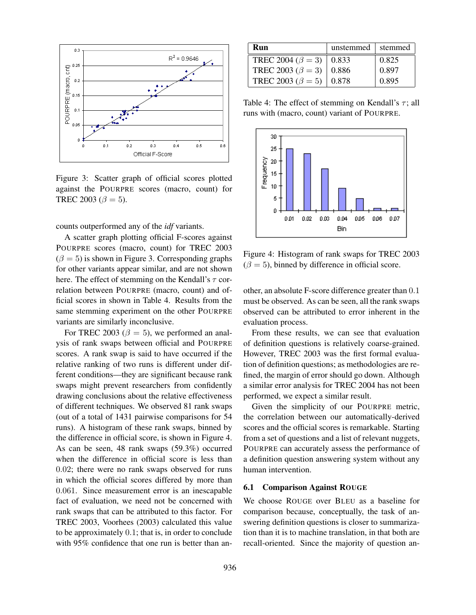

Figure 3: Scatter graph of official scores plotted against the POURPRE scores (macro, count) for TREC 2003 ( $\beta = 5$ ).

counts outperformed any of the *idf* variants.

A scatter graph plotting official F-scores against POURPRE scores (macro, count) for TREC 2003  $(\beta = 5)$  is shown in Figure 3. Corresponding graphs for other variants appear similar, and are not shown here. The effect of stemming on the Kendall's  $\tau$  correlation between POURPRE (macro, count) and official scores in shown in Table 4. Results from the same stemming experiment on the other POURPRE variants are similarly inconclusive.

For TREC 2003 ( $\beta = 5$ ), we performed an analysis of rank swaps between official and POURPRE scores. A rank swap is said to have occurred if the relative ranking of two runs is different under different conditions—they are significant because rank swaps might prevent researchers from confidently drawing conclusions about the relative effectiveness of different techniques. We observed 81 rank swaps (out of a total of 1431 pairwise comparisons for 54 runs). A histogram of these rank swaps, binned by the difference in official score, is shown in Figure 4. As can be seen, 48 rank swaps (59.3%) occurred when the difference in official score is less than 0.02; there were no rank swaps observed for runs in which the official scores differed by more than 0.061. Since measurement error is an inescapable fact of evaluation, we need not be concerned with rank swaps that can be attributed to this factor. For TREC 2003, Voorhees (2003) calculated this value to be approximately 0.1; that is, in order to conclude with 95% confidence that one run is better than an-

| Run                               | unstemmed $\vert$ stemmed |       |
|-----------------------------------|---------------------------|-------|
| TREC 2004 ( $\beta = 3$ )   0.833 |                           | 0.825 |
| TREC 2003 ( $\beta = 3$ )         | $\pm 0.886$               | 0.897 |
| TREC 2003 ( $\beta = 5$ )         | 0.878                     | 0.895 |

Table 4: The effect of stemming on Kendall's  $\tau$ ; all runs with (macro, count) variant of POURPRE.



Figure 4: Histogram of rank swaps for TREC 2003  $(\beta = 5)$ , binned by difference in official score.

other, an absolute F-score difference greater than 0.1 must be observed. As can be seen, all the rank swaps observed can be attributed to error inherent in the evaluation process.

From these results, we can see that evaluation of definition questions is relatively coarse-grained. However, TREC 2003 was the first formal evaluation of definition questions; as methodologies are refined, the margin of error should go down. Although a similar error analysis for TREC 2004 has not been performed, we expect a similar result.

Given the simplicity of our POURPRE metric, the correlation between our automatically-derived scores and the official scores is remarkable. Starting from a set of questions and a list of relevant nuggets, POURPRE can accurately assess the performance of a definition question answering system without any human intervention.

#### 6.1 Comparison Against ROUGE

We choose ROUGE over BLEU as a baseline for comparison because, conceptually, the task of answering definition questions is closer to summarization than it is to machine translation, in that both are recall-oriented. Since the majority of question an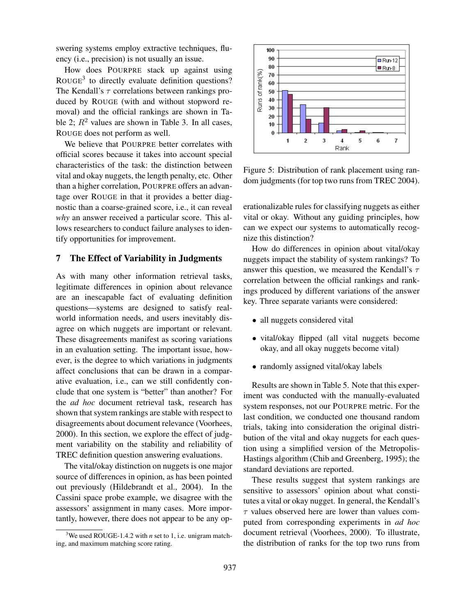swering systems employ extractive techniques, fluency (i.e., precision) is not usually an issue.

How does POURPRE stack up against using ROUGE<sup>3</sup> to directly evaluate definition questions? The Kendall's  $\tau$  correlations between rankings produced by ROUGE (with and without stopword removal) and the official rankings are shown in Table 2;  $R^2$  values are shown in Table 3. In all cases, ROUGE does not perform as well.

We believe that POURPRE better correlates with official scores because it takes into account special characteristics of the task: the distinction between vital and okay nuggets, the length penalty, etc. Other than a higher correlation, POURPRE offers an advantage over ROUGE in that it provides a better diagnostic than a coarse-grained score, i.e., it can reveal *why* an answer received a particular score. This allows researchers to conduct failure analyses to identify opportunities for improvement.

### 7 The Effect of Variability in Judgments

As with many other information retrieval tasks, legitimate differences in opinion about relevance are an inescapable fact of evaluating definition questions—systems are designed to satisfy realworld information needs, and users inevitably disagree on which nuggets are important or relevant. These disagreements manifest as scoring variations in an evaluation setting. The important issue, however, is the degree to which variations in judgments affect conclusions that can be drawn in a comparative evaluation, i.e., can we still confidently conclude that one system is "better" than another? For the *ad hoc* document retrieval task, research has shown that system rankings are stable with respect to disagreements about document relevance (Voorhees, 2000). In this section, we explore the effect of judgment variability on the stability and reliability of TREC definition question answering evaluations.

The vital/okay distinction on nuggets is one major source of differences in opinion, as has been pointed out previously (Hildebrandt et al., 2004). In the Cassini space probe example, we disagree with the assessors' assignment in many cases. More importantly, however, there does not appear to be any op-



Figure 5: Distribution of rank placement using random judgments (for top two runs from TREC 2004).

erationalizable rules for classifying nuggets as either vital or okay. Without any guiding principles, how can we expect our systems to automatically recognize this distinction?

How do differences in opinion about vital/okay nuggets impact the stability of system rankings? To answer this question, we measured the Kendall's  $\tau$ correlation between the official rankings and rankings produced by different variations of the answer key. Three separate variants were considered:

- all nuggets considered vital
- vital/okay flipped (all vital nuggets become okay, and all okay nuggets become vital)
- randomly assigned vital/okay labels

Results are shown in Table 5. Note that this experiment was conducted with the manually-evaluated system responses, not our POURPRE metric. For the last condition, we conducted one thousand random trials, taking into consideration the original distribution of the vital and okay nuggets for each question using a simplified version of the Metropolis-Hastings algorithm (Chib and Greenberg, 1995); the standard deviations are reported.

These results suggest that system rankings are sensitive to assessors' opinion about what constitutes a vital or okay nugget. In general, the Kendall's  $\tau$  values observed here are lower than values computed from corresponding experiments in *ad hoc* document retrieval (Voorhees, 2000). To illustrate, the distribution of ranks for the top two runs from

<sup>&</sup>lt;sup>3</sup>We used ROUGE-1.4.2 with *n* set to 1, i.e. unigram matching, and maximum matching score rating.